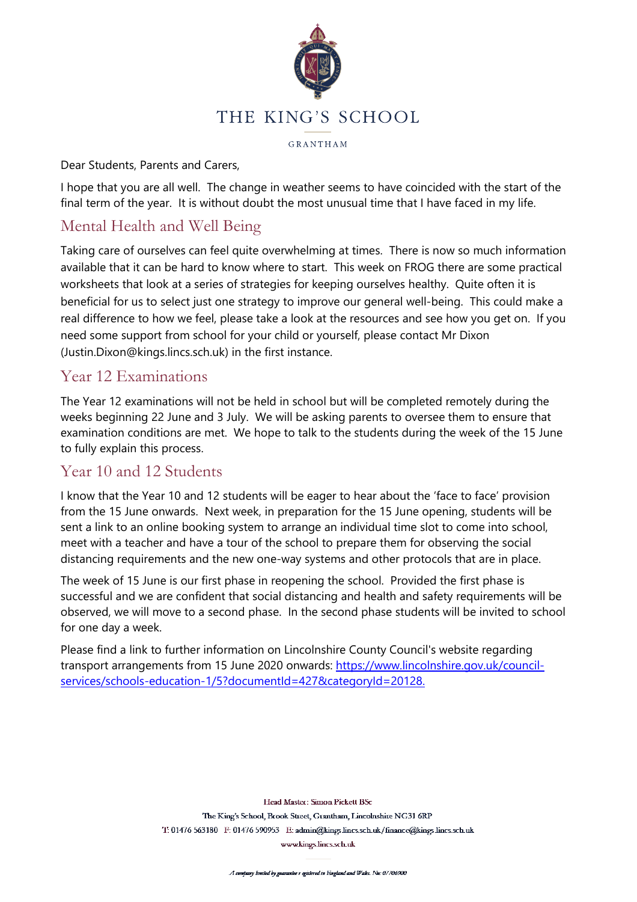

GRANTHAM

#### Dear Students, Parents and Carers,

I hope that you are all well. The change in weather seems to have coincided with the start of the final term of the year. It is without doubt the most unusual time that I have faced in my life.

# Mental Health and Well Being

Taking care of ourselves can feel quite overwhelming at times. There is now so much information available that it can be hard to know where to start. This week on FROG there are some practical worksheets that look at a series of strategies for keeping ourselves healthy. Quite often it is beneficial for us to select just one strategy to improve our general well-being. This could make a real difference to how we feel, please take a look at the resources and see how you get on. If you need some support from school for your child or yourself, please contact Mr Dixon (Justin.Dixon@kings.lincs.sch.uk) in the first instance.

#### Year 12 Examinations

The Year 12 examinations will not be held in school but will be completed remotely during the weeks beginning 22 June and 3 July. We will be asking parents to oversee them to ensure that examination conditions are met. We hope to talk to the students during the week of the 15 June to fully explain this process.

#### Year 10 and 12 Students

I know that the Year 10 and 12 students will be eager to hear about the 'face to face' provision from the 15 June onwards. Next week, in preparation for the 15 June opening, students will be sent a link to an online booking system to arrange an individual time slot to come into school, meet with a teacher and have a tour of the school to prepare them for observing the social distancing requirements and the new one-way systems and other protocols that are in place.

The week of 15 June is our first phase in reopening the school. Provided the first phase is successful and we are confident that social distancing and health and safety requirements will be observed, we will move to a second phase. In the second phase students will be invited to school for one day a week.

Please find a link to further information on Lincolnshire County Council's website regarding transport arrangements from 15 June 2020 onwards: [https://www.lincolnshire.gov.uk/council](https://www.lincolnshire.gov.uk/council-services/schools-education-1/5?documentId=427&categoryId=20128)[services/schools-education-1/5?documentId=427&categoryId=20128.](https://www.lincolnshire.gov.uk/council-services/schools-education-1/5?documentId=427&categoryId=20128)

> Head Master: Simon Pickett BSc The King's School, Brook Street, Grantham, Lincolnshire NG31 6RP T: 01476 563180 F: 01476 590953 E: admin@kings.lincs.sch.uk/finance@kings.lincs.sch.uk www.kings.lincs.sch.uk